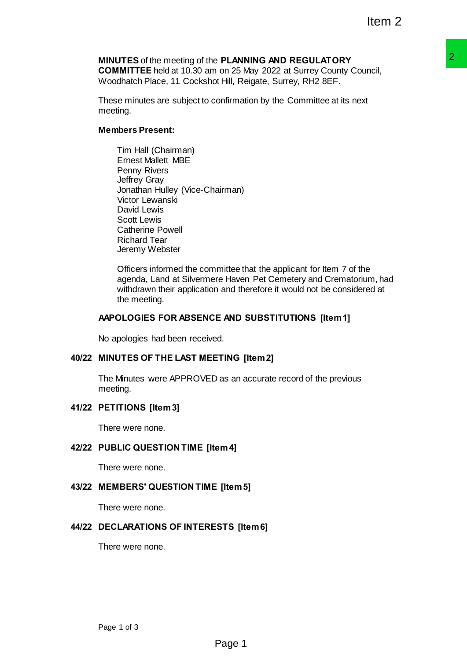#### **MINUTES** of the meeting of the **PLANNING AND REGULATORY COMMITTEE** held at 10.30 am on 25 May 2022 at Surrey County Council,

Woodhatch Place, 11 Cockshot Hill, Reigate, Surrey, RH2 8EF.

These minutes are subject to confirmation by the Committee at its next meeting.

## **Members Present:**

Tim Hall (Chairman) Ernest Mallett MBE Penny Rivers Jeffrey Gray Jonathan Hulley (Vice-Chairman) Victor Lewanski David Lewis Scott Lewis Catherine Powell Richard Tear Jeremy Webster

Officers informed the committee that the applicant for Item 7 of the agenda, Land at Silvermere Haven Pet Cemetery and Crematorium, had withdrawn their application and therefore it would not be considered at the meeting. **P PLANNING AND REGULAT ORY 12012**<br> **ProANNING AND REGULAT ORY**<br>
On or 25 May 2022 at Surrey County Council,<br>
1 Hill, Reigate, Surrey, RH2 8EF.<br>
Confirmation by the Committee at its next<br>
airman)<br>
<br>
airman)<br>
<br> **E HAD SUBST** 

## **AAPOLOGIES FOR ABSENCE AND SUBSTITUTIONS [Item 1]**

No apologies had been received.

# **40/22 MINUTES OF THE LAST MEETING [Item 2]**

The Minutes were APPROVED as an accurate record of the previous meeting.

# **41/22 PETITIONS [Item 3]**

There were none.

### **42/22 PUBLIC QUESTION TIME [Item 4]**

There were none.

### **43/22 MEMBERS' QUESTION TIME [Item 5]**

There were none.

### **44/22 DECLARATIONS OF INTERESTS [Item 6]**

There were none.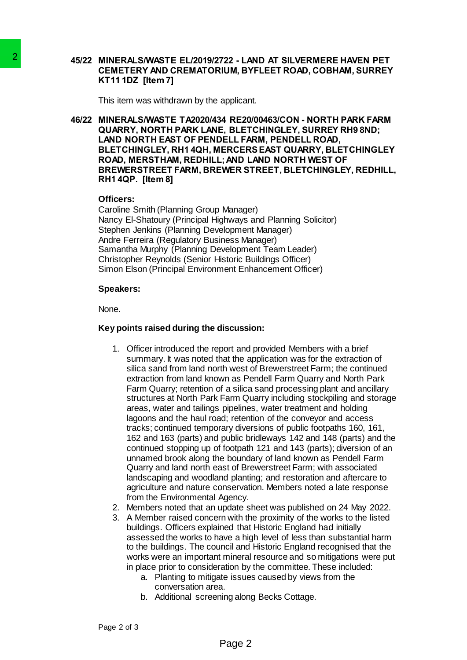#### **45/22 MINERALS/WASTE EL/2019/2722 - LAND AT SILVERMERE HAVEN PET CEMETERY AND CREMATORIUM, BYFLEET ROAD, COBHAM, SURREY KT11 1DZ [Item 7]**

This item was withdrawn by the applicant.

**46/22 MINERALS/WASTE TA2020/434 RE20/00463/CON - NORTH PARK FARM QUARRY, NORTH PARK LANE, BLETCHINGLEY, SURREY RH9 8ND; LAND NORTH EAST OF PENDELL FARM, PENDELL ROAD, BLETCHINGLEY, RH1 4QH, MERCERSEAST QUARRY, BLETCHINGLEY ROAD, MERSTHAM, REDHILL;AND LAND NORTH WEST OF BREWERSTREET FARM, BREWER STREET, BLETCHINGLEY, REDHILL, RH1 4QP. [Item 8]**

#### **Officers:**

Caroline Smith (Planning Group Manager) Nancy El-Shatoury (Principal Highways and Planning Solicitor) Stephen Jenkins (Planning Development Manager) Andre Ferreira (Regulatory Business Manager) Samantha Murphy (Planning Development Team Leader) Christopher Reynolds (Senior Historic Buildings Officer) Simon Elson (Principal Environment Enhancement Officer)

### **Speakers:**

None.

## **Key points raised during the discussion:**

- 1. Officer introduced the report and provided Members with a brief summary. It was noted that the application was for the extraction of silica sand from land north west of Brewerstreet Farm; the continued extraction from land known as Pendell Farm Quarry and North Park Farm Quarry; retention of a silica sand processing plant and ancillary structures at North Park Farm Quarry including stockpiling and storage areas, water and tailings pipelines, water treatment and holding lagoons and the haul road; retention of the conveyor and access tracks; continued temporary diversions of public footpaths 160, 161, 162 and 163 (parts) and public bridleways 142 and 148 (parts) and the continued stopping up of footpath 121 and 143 (parts); diversion of an unnamed brook along the boundary of land known as Pendell Farm Quarry and land north east of Brewerstreet Farm; with associated landscaping and woodland planting; and restoration and aftercare to agriculture and nature conservation. Members noted a late response from the Environmental Agency. 2<br> **EINERAL SWANSTE ELIZO1912722 - LA<br>
CEMETERY AND CREMATORIUM, BY<br>
CEMETERY AND CREMATORIUM, BY<br>
KT11 1DZ [Item 7]<br>
This item was withdrawn by the applicant<br>
46/22 MINERALSMASTE TA20204434 RE2D<br>
CLUARRY, NORTH PART LANE,** 
	- 2. Members noted that an update sheet was published on 24 May 2022.
	- 3. A Member raised concern with the proximity of the works to the listed buildings. Officers explained that Historic England had initially assessed the works to have a high level of less than substantial harm to the buildings. The council and Historic England recognised that the works were an important mineral resource and so mitigations were put in place prior to consideration by the committee. These included:
		- a. Planting to mitigate issues caused by views from the conversation area.
		- b. Additional screening along Becks Cottage.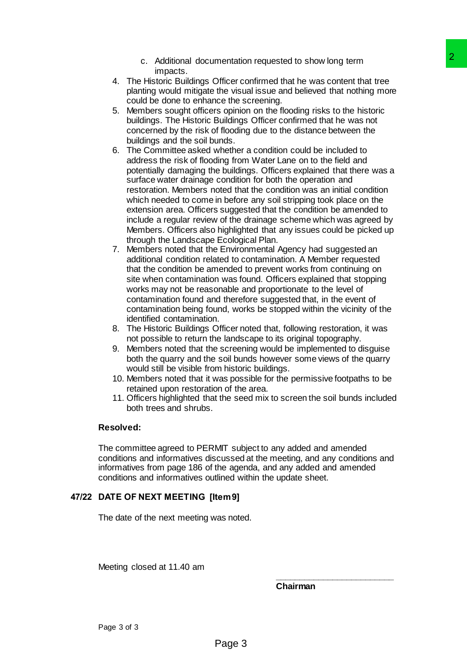- c. Additional documentation requested to show long term impacts.
- 4. The Historic Buildings Officer confirmed that he was content that tree planting would mitigate the visual issue and believed that nothing more could be done to enhance the screening.
- 5. Members sought officers opinion on the flooding risks to the historic buildings. The Historic Buildings Officer confirmed that he was not concerned by the risk of flooding due to the distance between the buildings and the soil bunds.
- 6. The Committee asked whether a condition could be included to address the risk of flooding from Water Lane on to the field and potentially damaging the buildings. Officers explained that there was a surface water drainage condition for both the operation and restoration. Members noted that the condition was an initial condition which needed to come in before any soil stripping took place on the extension area. Officers suggested that the condition be amended to include a regular review of the drainage scheme which was agreed by Members. Officers also highlighted that any issues could be picked up through the Landscape Ecological Plan. mentation requested to show long term<br>
The confirmed that he was contact that the confirmed that he was contact that he core in the core of the stream of the properties of the mission of the following more on the flooding
- 7. Members noted that the Environmental Agency had suggested an additional condition related to contamination. A Member requested that the condition be amended to prevent works from continuing on site when contamination was found. Officers explained that stopping works may not be reasonable and proportionate to the level of contamination found and therefore suggested that, in the event of contamination being found, works be stopped within the vicinity of the identified contamination.
- 8. The Historic Buildings Officer noted that, following restoration, it was not possible to return the landscape to its original topography.
- 9. Members noted that the screening would be implemented to disguise both the quarry and the soil bunds however some views of the quarry would still be visible from historic buildings.
- 10. Members noted that it was possible for the permissive footpaths to be retained upon restoration of the area.
- 11. Officers highlighted that the seed mix to screen the soil bunds included both trees and shrubs.

### **Resolved:**

The committee agreed to PERMIT subject to any added and amended conditions and informatives discussed at the meeting, and any conditions and informatives from page 186 of the agenda, and any added and amended conditions and informatives outlined within the update sheet.

# **47/22 DATE OF NEXT MEETING [Item 9]**

The date of the next meeting was noted.

Meeting closed at 11.40 am

**Chairman**

**\_\_\_\_\_\_\_\_\_\_\_\_\_\_\_\_\_\_\_\_\_\_\_\_\_**